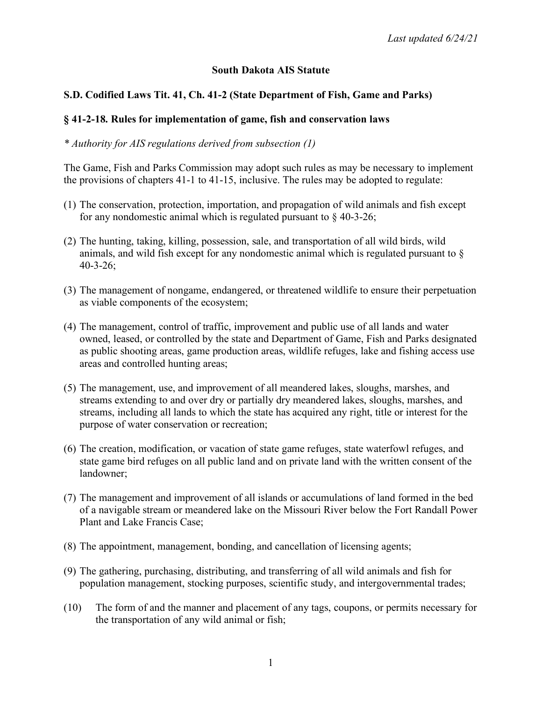### **South Dakota AIS Statute**

## **S.D. Codified Laws Tit. 41, Ch. 41-2 (State Department of Fish, Game and Parks)**

### **§ 41-2-18. Rules for implementation of game, fish and conservation laws**

### *\* Authority for AIS regulations derived from subsection (1)*

The Game, Fish and Parks Commission may adopt such rules as may be necessary to implement the provisions of chapters 41-1 to 41-15, inclusive. The rules may be adopted to regulate:

- (1) The conservation, protection, importation, and propagation of wild animals and fish except for any nondomestic animal which is regulated pursuant to  $\S$  40-3-26;
- (2) The hunting, taking, killing, possession, sale, and transportation of all wild birds, wild animals, and wild fish except for any nondomestic animal which is regulated pursuant to § 40-3-26;
- (3) The management of nongame, endangered, or threatened wildlife to ensure their perpetuation as viable components of the ecosystem;
- (4) The management, control of traffic, improvement and public use of all lands and water owned, leased, or controlled by the state and Department of Game, Fish and Parks designated as public shooting areas, game production areas, wildlife refuges, lake and fishing access use areas and controlled hunting areas;
- (5) The management, use, and improvement of all meandered lakes, sloughs, marshes, and streams extending to and over dry or partially dry meandered lakes, sloughs, marshes, and streams, including all lands to which the state has acquired any right, title or interest for the purpose of water conservation or recreation;
- (6) The creation, modification, or vacation of state game refuges, state waterfowl refuges, and state game bird refuges on all public land and on private land with the written consent of the landowner;
- (7) The management and improvement of all islands or accumulations of land formed in the bed of a navigable stream or meandered lake on the Missouri River below the Fort Randall Power Plant and Lake Francis Case;
- (8) The appointment, management, bonding, and cancellation of licensing agents;
- (9) The gathering, purchasing, distributing, and transferring of all wild animals and fish for population management, stocking purposes, scientific study, and intergovernmental trades;
- (10) The form of and the manner and placement of any tags, coupons, or permits necessary for the transportation of any wild animal or fish;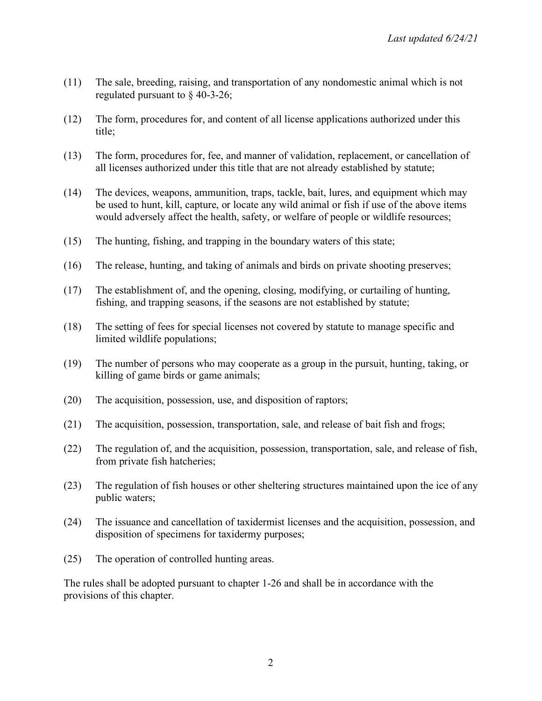- (11) The sale, breeding, raising, and transportation of any nondomestic animal which is not regulated pursuant to § 40-3-26;
- (12) The form, procedures for, and content of all license applications authorized under this title;
- (13) The form, procedures for, fee, and manner of validation, replacement, or cancellation of all licenses authorized under this title that are not already established by statute;
- (14) The devices, weapons, ammunition, traps, tackle, bait, lures, and equipment which may be used to hunt, kill, capture, or locate any wild animal or fish if use of the above items would adversely affect the health, safety, or welfare of people or wildlife resources;
- (15) The hunting, fishing, and trapping in the boundary waters of this state;
- (16) The release, hunting, and taking of animals and birds on private shooting preserves;
- (17) The establishment of, and the opening, closing, modifying, or curtailing of hunting, fishing, and trapping seasons, if the seasons are not established by statute;
- (18) The setting of fees for special licenses not covered by statute to manage specific and limited wildlife populations;
- (19) The number of persons who may cooperate as a group in the pursuit, hunting, taking, or killing of game birds or game animals;
- (20) The acquisition, possession, use, and disposition of raptors;
- (21) The acquisition, possession, transportation, sale, and release of bait fish and frogs;
- (22) The regulation of, and the acquisition, possession, transportation, sale, and release of fish, from private fish hatcheries;
- (23) The regulation of fish houses or other sheltering structures maintained upon the ice of any public waters;
- (24) The issuance and cancellation of taxidermist licenses and the acquisition, possession, and disposition of specimens for taxidermy purposes;
- (25) The operation of controlled hunting areas.

The rules shall be adopted pursuant to chapter 1-26 and shall be in accordance with the provisions of this chapter.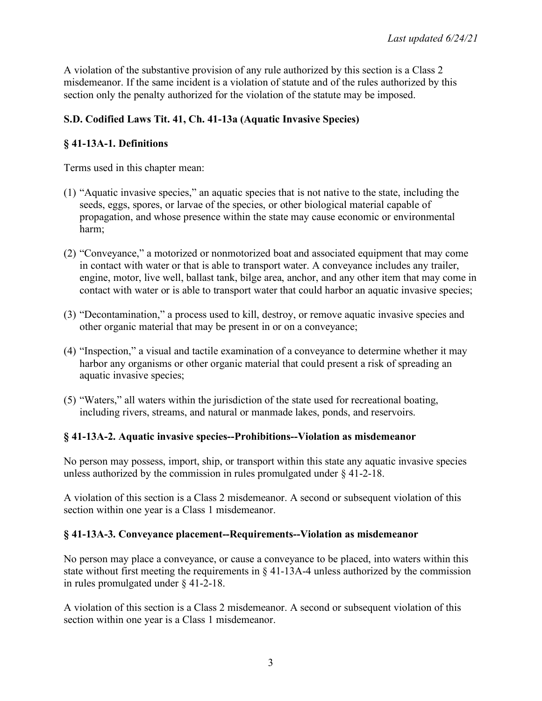A violation of the substantive provision of any rule authorized by this section is a Class 2 misdemeanor. If the same incident is a violation of statute and of the rules authorized by this section only the penalty authorized for the violation of the statute may be imposed.

# **S.D. Codified Laws Tit. 41, Ch. 41-13a (Aquatic Invasive Species)**

# **§ 41-13A-1. Definitions**

Terms used in this chapter mean:

- (1) "Aquatic invasive species," an aquatic species that is not native to the state, including the seeds, eggs, spores, or larvae of the species, or other biological material capable of propagation, and whose presence within the state may cause economic or environmental harm;
- (2) "Conveyance," a motorized or nonmotorized boat and associated equipment that may come in contact with water or that is able to transport water. A conveyance includes any trailer, engine, motor, live well, ballast tank, bilge area, anchor, and any other item that may come in contact with water or is able to transport water that could harbor an aquatic invasive species;
- (3) "Decontamination," a process used to kill, destroy, or remove aquatic invasive species and other organic material that may be present in or on a conveyance;
- (4) "Inspection," a visual and tactile examination of a conveyance to determine whether it may harbor any organisms or other organic material that could present a risk of spreading an aquatic invasive species;
- (5) "Waters," all waters within the jurisdiction of the state used for recreational boating, including rivers, streams, and natural or manmade lakes, ponds, and reservoirs.

## **§ 41-13A-2. Aquatic invasive species--Prohibitions--Violation as misdemeanor**

No person may possess, import, ship, or transport within this state any aquatic invasive species unless authorized by the commission in rules promulgated under § 41-2-18.

A violation of this section is a Class 2 misdemeanor. A second or subsequent violation of this section within one year is a Class 1 misdemeanor.

#### **§ 41-13A-3. Conveyance placement--Requirements--Violation as misdemeanor**

No person may place a conveyance, or cause a conveyance to be placed, into waters within this state without first meeting the requirements in  $\S$  41-13A-4 unless authorized by the commission in rules promulgated under § 41-2-18.

A violation of this section is a Class 2 misdemeanor. A second or subsequent violation of this section within one year is a Class 1 misdemeanor.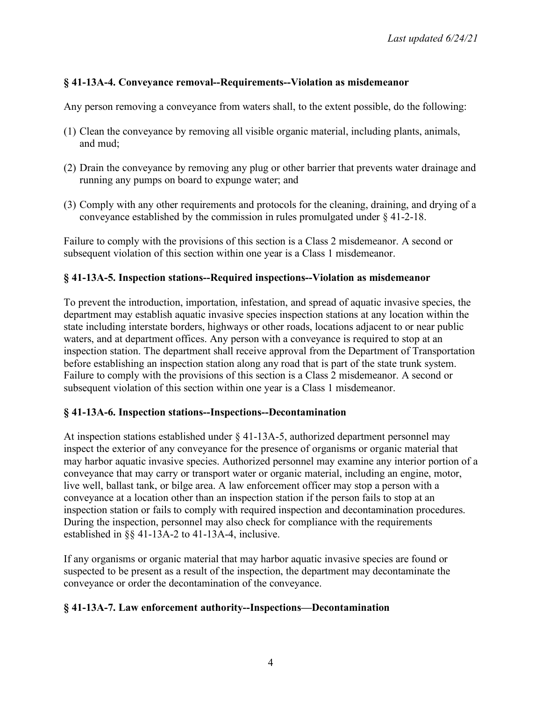# **§ 41-13A-4. Conveyance removal--Requirements--Violation as misdemeanor**

Any person removing a conveyance from waters shall, to the extent possible, do the following:

- (1) Clean the conveyance by removing all visible organic material, including plants, animals, and mud;
- (2) Drain the conveyance by removing any plug or other barrier that prevents water drainage and running any pumps on board to expunge water; and
- (3) Comply with any other requirements and protocols for the cleaning, draining, and drying of a conveyance established by the commission in rules promulgated under § 41-2-18.

Failure to comply with the provisions of this section is a Class 2 misdemeanor. A second or subsequent violation of this section within one year is a Class 1 misdemeanor.

### **§ 41-13A-5. Inspection stations--Required inspections--Violation as misdemeanor**

To prevent the introduction, importation, infestation, and spread of aquatic invasive species, the department may establish aquatic invasive species inspection stations at any location within the state including interstate borders, highways or other roads, locations adjacent to or near public waters, and at department offices. Any person with a conveyance is required to stop at an inspection station. The department shall receive approval from the Department of Transportation before establishing an inspection station along any road that is part of the state trunk system. Failure to comply with the provisions of this section is a Class 2 misdemeanor. A second or subsequent violation of this section within one year is a Class 1 misdemeanor.

#### **§ 41-13A-6. Inspection stations--Inspections--Decontamination**

At inspection stations established under § 41-13A-5, authorized department personnel may inspect the exterior of any conveyance for the presence of organisms or organic material that may harbor aquatic invasive species. Authorized personnel may examine any interior portion of a conveyance that may carry or transport water or organic material, including an engine, motor, live well, ballast tank, or bilge area. A law enforcement officer may stop a person with a conveyance at a location other than an inspection station if the person fails to stop at an inspection station or fails to comply with required inspection and decontamination procedures. During the inspection, personnel may also check for compliance with the requirements established in §§ 41-13A-2 to 41-13A-4, inclusive.

If any organisms or organic material that may harbor aquatic invasive species are found or suspected to be present as a result of the inspection, the department may decontaminate the conveyance or order the decontamination of the conveyance.

## **§ 41-13A-7. Law enforcement authority--Inspections—Decontamination**